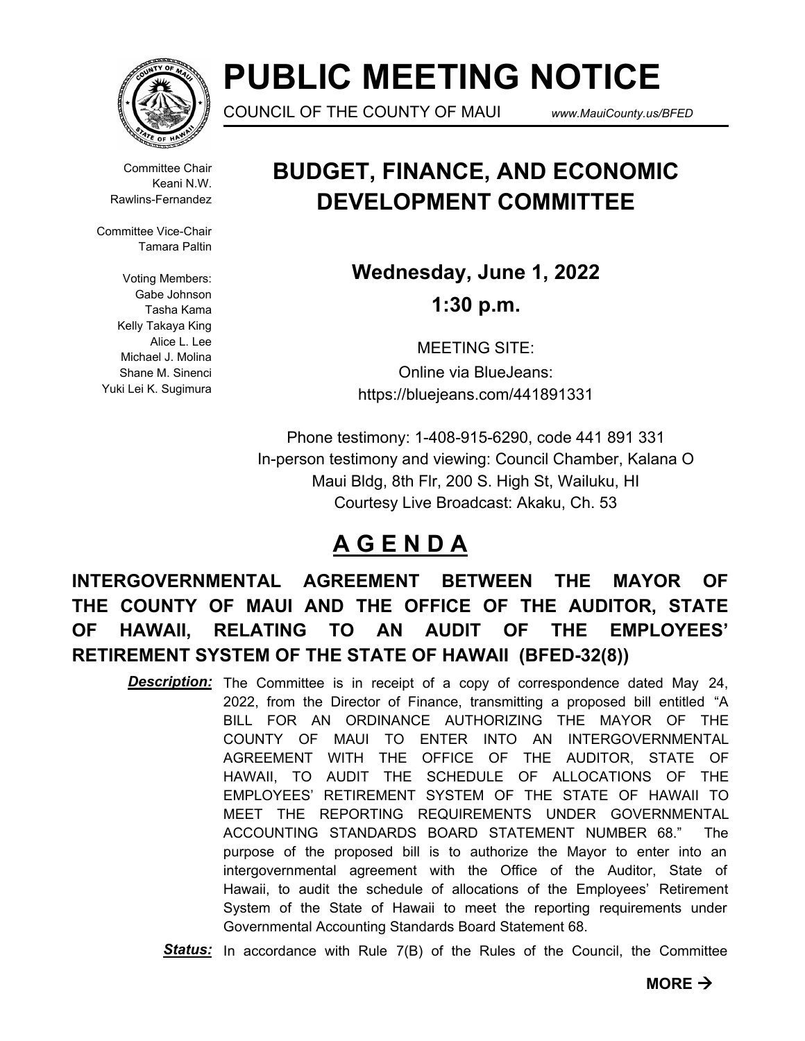

# **PUBLIC MEETING NOTICE**

COUNCIL OF THE COUNTY OF MAUI *www.MauiCounty.us/BFED*

Committee Chair Keani N.W. Rawlins-Fernandez

Committee Vice-Chair Tamara Paltin

Voting Members: Gabe Johnson Tasha Kama Kelly Takaya King Alice L. Lee Michael J. Molina Shane M. Sinenci Yuki Lei K. Sugimura

## **BUDGET, FINANCE, AND ECONOMIC DEVELOPMENT COMMITTEE**

**Wednesday, June 1, 2022 1:30 p.m.**

MEETING SITE: Online via BlueJeans: https://bluejeans.com/441891331

Phone testimony: 1-408-915-6290, code 441 891 331 In-person testimony and viewing: Council Chamber, Kalana O Maui Bldg, 8th Flr, 200 S. High St, Wailuku, HI Courtesy Live Broadcast: Akaku, Ch. 53

### **A G E N D A**

### **INTERGOVERNMENTAL AGREEMENT BETWEEN THE MAYOR OF THE COUNTY OF MAUI AND THE OFFICE OF THE AUDITOR, STATE OF HAWAII, RELATING TO AN AUDIT OF THE EMPLOYEES' RETIREMENT SYSTEM OF THE STATE OF HAWAII (BFED-32(8))**

- **Description:** The Committee is in receipt of a copy of correspondence dated May 24, 2022, from the Director of Finance, transmitting a proposed bill entitled "A BILL FOR AN ORDINANCE AUTHORIZING THE MAYOR OF THE COUNTY OF MAUI TO ENTER INTO AN INTERGOVERNMENTAL AGREEMENT WITH THE OFFICE OF THE AUDITOR, STATE OF HAWAII, TO AUDIT THE SCHEDULE OF ALLOCATIONS OF THE EMPLOYEES' RETIREMENT SYSTEM OF THE STATE OF HAWAII TO MEET THE REPORTING REQUIREMENTS UNDER GOVERNMENTAL ACCOUNTING STANDARDS BOARD STATEMENT NUMBER 68." The purpose of the proposed bill is to authorize the Mayor to enter into an intergovernmental agreement with the Office of the Auditor, State of Hawaii, to audit the schedule of allocations of the Employees' Retirement System of the State of Hawaii to meet the reporting requirements under Governmental Accounting Standards Board Statement 68.
	- *Status:* In accordance with Rule 7(B) of the Rules of the Council, the Committee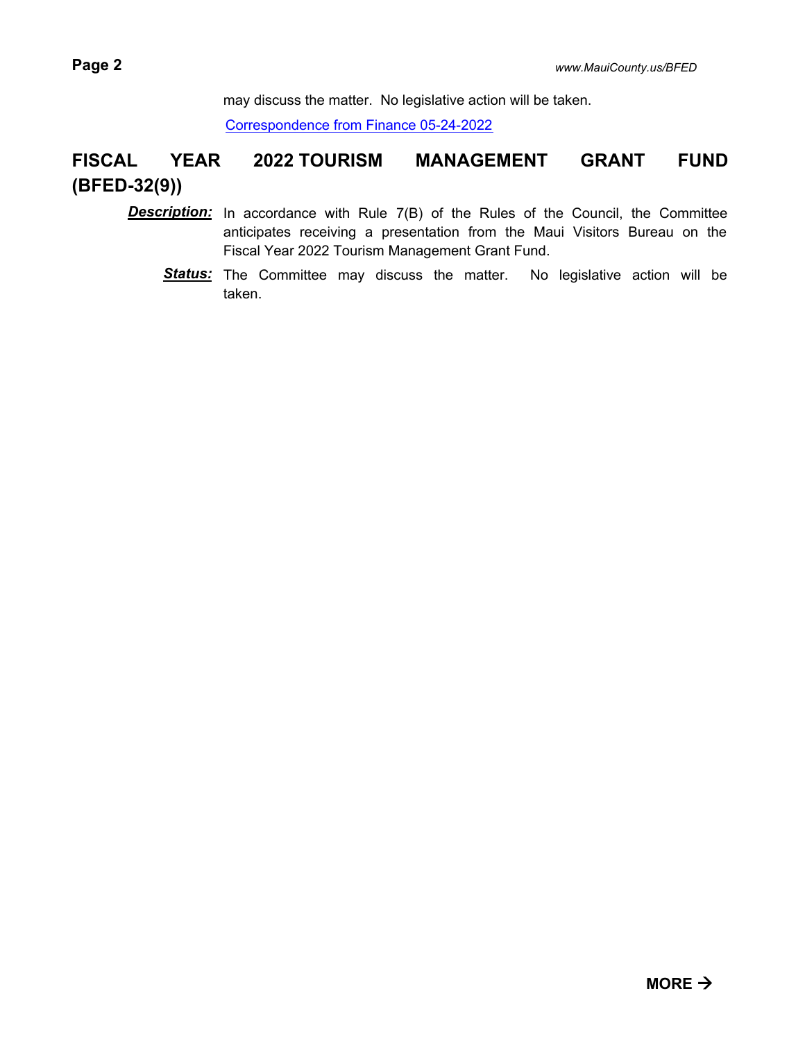may discuss the matter. No legislative action will be taken.

[Correspondence from Finance 05-24-2022](http://mauicounty.legistar.com/gateway.aspx?M=F&ID=9a37cfac-1ba0-4215-83ff-98644d6b1535.pdf)

### **FISCAL YEAR 2022 TOURISM MANAGEMENT GRANT FUND (BFED-32(9))**

- **Description:** In accordance with Rule 7(B) of the Rules of the Council, the Committee anticipates receiving a presentation from the Maui Visitors Bureau on the Fiscal Year 2022 Tourism Management Grant Fund.
	- Status: The Committee may discuss the matter. No legislative action will be taken.